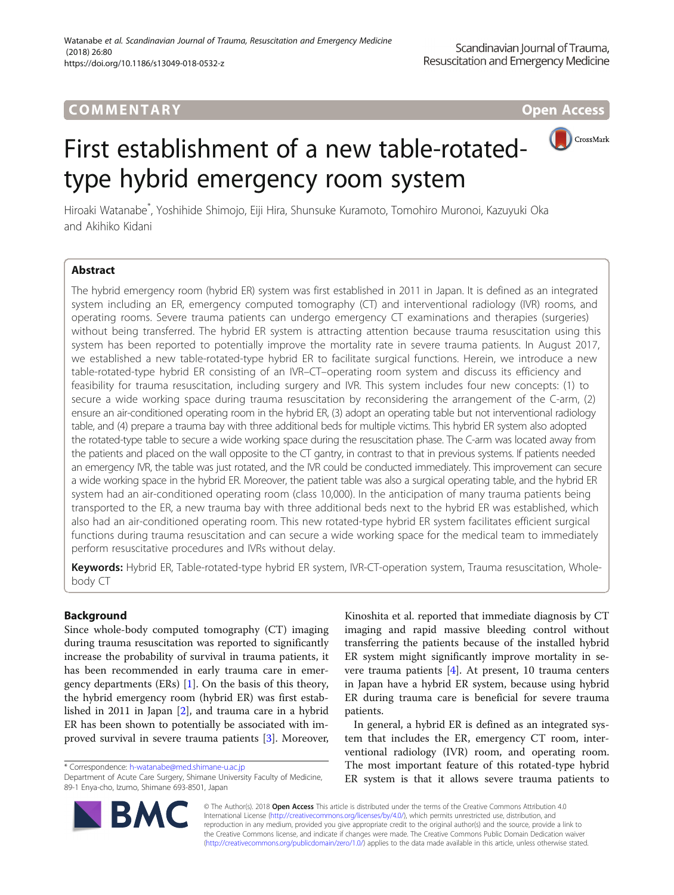# **COMMENTARY COMMENTARY Open Access**



# First establishment of a new table-rotatedtype hybrid emergency room system

Hiroaki Watanabe\* , Yoshihide Shimojo, Eiji Hira, Shunsuke Kuramoto, Tomohiro Muronoi, Kazuyuki Oka and Akihiko Kidani

# Abstract

The hybrid emergency room (hybrid ER) system was first established in 2011 in Japan. It is defined as an integrated system including an ER, emergency computed tomography (CT) and interventional radiology (IVR) rooms, and operating rooms. Severe trauma patients can undergo emergency CT examinations and therapies (surgeries) without being transferred. The hybrid ER system is attracting attention because trauma resuscitation using this system has been reported to potentially improve the mortality rate in severe trauma patients. In August 2017, we established a new table-rotated-type hybrid ER to facilitate surgical functions. Herein, we introduce a new table-rotated-type hybrid ER consisting of an IVR–CT–operating room system and discuss its efficiency and feasibility for trauma resuscitation, including surgery and IVR. This system includes four new concepts: (1) to secure a wide working space during trauma resuscitation by reconsidering the arrangement of the C-arm, (2) ensure an air-conditioned operating room in the hybrid ER, (3) adopt an operating table but not interventional radiology table, and (4) prepare a trauma bay with three additional beds for multiple victims. This hybrid ER system also adopted the rotated-type table to secure a wide working space during the resuscitation phase. The C-arm was located away from the patients and placed on the wall opposite to the CT gantry, in contrast to that in previous systems. If patients needed an emergency IVR, the table was just rotated, and the IVR could be conducted immediately. This improvement can secure a wide working space in the hybrid ER. Moreover, the patient table was also a surgical operating table, and the hybrid ER system had an air-conditioned operating room (class 10,000). In the anticipation of many trauma patients being transported to the ER, a new trauma bay with three additional beds next to the hybrid ER was established, which also had an air-conditioned operating room. This new rotated-type hybrid ER system facilitates efficient surgical functions during trauma resuscitation and can secure a wide working space for the medical team to immediately perform resuscitative procedures and IVRs without delay.

Keywords: Hybrid ER, Table-rotated-type hybrid ER system, IVR-CT-operation system, Trauma resuscitation, Wholebody CT

# Background

Since whole-body computed tomography (CT) imaging during trauma resuscitation was reported to significantly increase the probability of survival in trauma patients, it has been recommended in early trauma care in emergency departments (ERs) [\[1](#page-3-0)]. On the basis of this theory, the hybrid emergency room (hybrid ER) was first established in 2011 in Japan [\[2](#page-3-0)], and trauma care in a hybrid ER has been shown to potentially be associated with improved survival in severe trauma patients [\[3](#page-3-0)]. Moreover,

Kinoshita et al. reported that immediate diagnosis by CT imaging and rapid massive bleeding control without transferring the patients because of the installed hybrid ER system might significantly improve mortality in severe trauma patients  $[4]$ . At present, 10 trauma centers in Japan have a hybrid ER system, because using hybrid ER during trauma care is beneficial for severe trauma patients.

In general, a hybrid ER is defined as an integrated system that includes the ER, emergency CT room, interventional radiology (IVR) room, and operating room. The most important feature of this rotated-type hybrid ER system is that it allows severe trauma patients to



© The Author(s). 2018 Open Access This article is distributed under the terms of the Creative Commons Attribution 4.0 International License [\(http://creativecommons.org/licenses/by/4.0/](http://creativecommons.org/licenses/by/4.0/)), which permits unrestricted use, distribution, and reproduction in any medium, provided you give appropriate credit to the original author(s) and the source, provide a link to the Creative Commons license, and indicate if changes were made. The Creative Commons Public Domain Dedication waiver [\(http://creativecommons.org/publicdomain/zero/1.0/](http://creativecommons.org/publicdomain/zero/1.0/)) applies to the data made available in this article, unless otherwise stated.

<sup>\*</sup> Correspondence: [h-watanabe@med.shimane-u.ac.jp](mailto:h-watanabe@med.shimane-u.ac.jp)

Department of Acute Care Surgery, Shimane University Faculty of Medicine, 89-1 Enya-cho, Izumo, Shimane 693-8501, Japan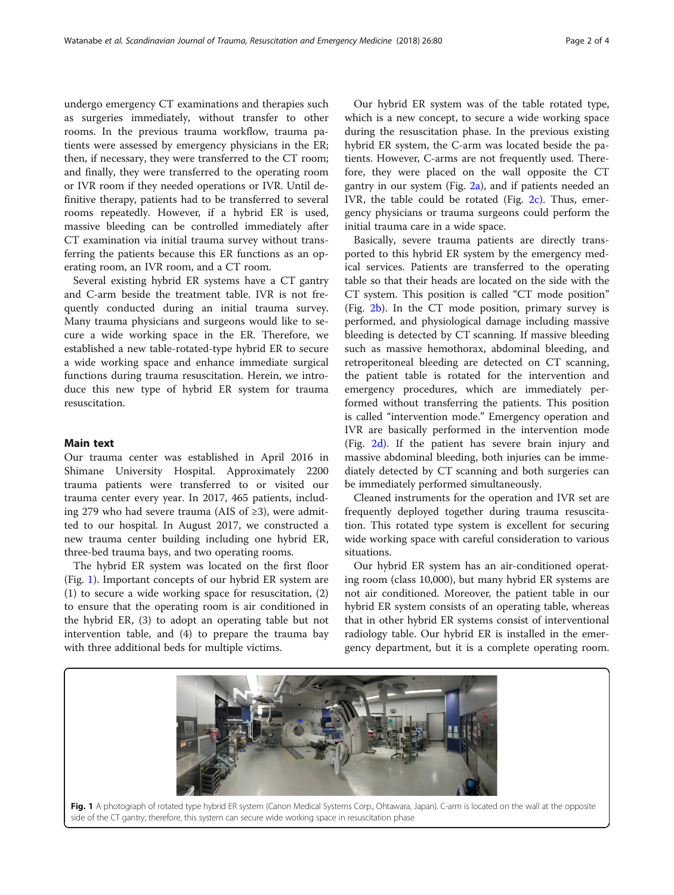undergo emergency CT examinations and therapies such as surgeries immediately, without transfer to other rooms. In the previous trauma workflow, trauma patients were assessed by emergency physicians in the ER; then, if necessary, they were transferred to the CT room; and finally, they were transferred to the operating room or IVR room if they needed operations or IVR. Until definitive therapy, patients had to be transferred to several rooms repeatedly. However, if a hybrid ER is used, massive bleeding can be controlled immediately after CT examination via initial trauma survey without transferring the patients because this ER functions as an operating room, an IVR room, and a CT room.

Several existing hybrid ER systems have a CT gantry and C-arm beside the treatment table. IVR is not frequently conducted during an initial trauma survey. Many trauma physicians and surgeons would like to secure a wide working space in the ER. Therefore, we established a new table-rotated-type hybrid ER to secure a wide working space and enhance immediate surgical functions during trauma resuscitation. Herein, we introduce this new type of hybrid ER system for trauma resuscitation.

## Main text

Our trauma center was established in April 2016 in Shimane University Hospital. Approximately 2200 trauma patients were transferred to or visited our trauma center every year. In 2017, 465 patients, including 279 who had severe trauma (AIS of ≥3), were admitted to our hospital. In August 2017, we constructed a new trauma center building including one hybrid ER, three-bed trauma bays, and two operating rooms.

The hybrid ER system was located on the first floor (Fig. 1). Important concepts of our hybrid ER system are (1) to secure a wide working space for resuscitation, (2) to ensure that the operating room is air conditioned in the hybrid ER, (3) to adopt an operating table but not intervention table, and (4) to prepare the trauma bay with three additional beds for multiple victims.

Our hybrid ER system was of the table rotated type, which is a new concept, to secure a wide working space during the resuscitation phase. In the previous existing hybrid ER system, the C-arm was located beside the patients. However, C-arms are not frequently used. Therefore, they were placed on the wall opposite the CT gantry in our system (Fig. [2a\)](#page-2-0), and if patients needed an IVR, the table could be rotated (Fig.  $2c$ ). Thus, emergency physicians or trauma surgeons could perform the initial trauma care in a wide space.

Basically, severe trauma patients are directly transported to this hybrid ER system by the emergency medical services. Patients are transferred to the operating table so that their heads are located on the side with the CT system. This position is called "CT mode position" (Fig. [2b](#page-2-0)). In the CT mode position, primary survey is performed, and physiological damage including massive bleeding is detected by CT scanning. If massive bleeding such as massive hemothorax, abdominal bleeding, and retroperitoneal bleeding are detected on CT scanning, the patient table is rotated for the intervention and emergency procedures, which are immediately performed without transferring the patients. This position is called "intervention mode." Emergency operation and IVR are basically performed in the intervention mode (Fig. [2d\)](#page-2-0). If the patient has severe brain injury and massive abdominal bleeding, both injuries can be immediately detected by CT scanning and both surgeries can be immediately performed simultaneously.

Cleaned instruments for the operation and IVR set are frequently deployed together during trauma resuscitation. This rotated type system is excellent for securing wide working space with careful consideration to various situations.

Our hybrid ER system has an air-conditioned operating room (class 10,000), but many hybrid ER systems are not air conditioned. Moreover, the patient table in our hybrid ER system consists of an operating table, whereas that in other hybrid ER systems consist of interventional radiology table. Our hybrid ER is installed in the emergency department, but it is a complete operating room.

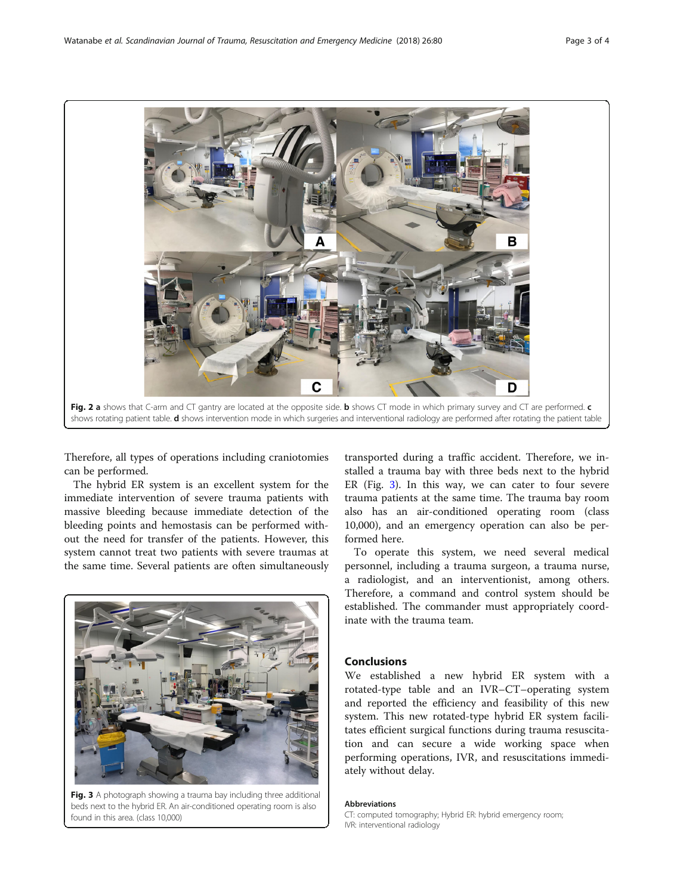<span id="page-2-0"></span>

Therefore, all types of operations including craniotomies can be performed.

The hybrid ER system is an excellent system for the immediate intervention of severe trauma patients with massive bleeding because immediate detection of the bleeding points and hemostasis can be performed without the need for transfer of the patients. However, this system cannot treat two patients with severe traumas at the same time. Several patients are often simultaneously



Fig. 3 A photograph showing a trauma bay including three additional beds next to the hybrid ER. An air-conditioned operating room is also found in this area. (class 10,000)

transported during a traffic accident. Therefore, we installed a trauma bay with three beds next to the hybrid ER (Fig. 3). In this way, we can cater to four severe trauma patients at the same time. The trauma bay room also has an air-conditioned operating room (class 10,000), and an emergency operation can also be performed here.

To operate this system, we need several medical personnel, including a trauma surgeon, a trauma nurse, a radiologist, and an interventionist, among others. Therefore, a command and control system should be established. The commander must appropriately coordinate with the trauma team.

## Conclusions

We established a new hybrid ER system with a rotated-type table and an IVR–CT–operating system and reported the efficiency and feasibility of this new system. This new rotated-type hybrid ER system facilitates efficient surgical functions during trauma resuscitation and can secure a wide working space when performing operations, IVR, and resuscitations immediately without delay.

#### Abbreviations

CT: computed tomography; Hybrid ER: hybrid emergency room; IVR: interventional radiology